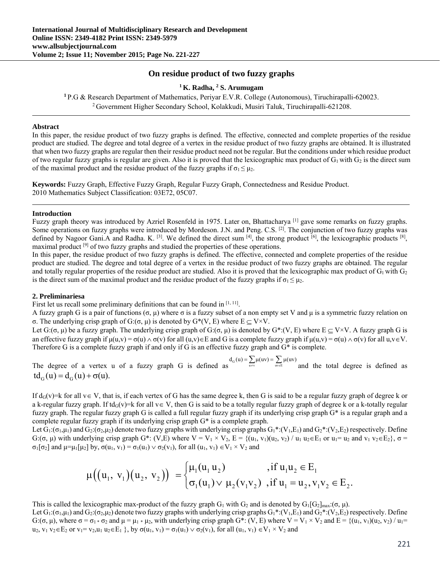# **On residue product of two fuzzy graphs**

## <sup>1</sup> K. Radha, <sup>2</sup> S. Arumugam

 **S. Arumugam 1** P.G & Research Department of Mathematics, Periyar E.V.R. College (Autonomous), Tiruchirapalli-620023. 2 Government Higher Secondary School, Kolakkudi, Musiri Taluk, Tiruchirapalli-621208.

## **Abstract**

In this paper, the residue product of two fuzzy graphs is defined. The effective, connected and complete properties of the residue product are studied. The degree and total degree of a vertex in the residue product of two fuzzy graphs are obtained. It is illustrated that when two fuzzy graphs are regular then their residue product need not be regular. But the conditions under which residue product of two regular fuzzy graphs is regular are given. Also it is proved that the lexicographic max product of  $G_1$  with  $G_2$  is the direct sum of the maximal product and the residue product of the fuzzy graphs if  $\sigma_1 \leq \mu_2$ .

**Keywords:** Fuzzy Graph, Effective Fuzzy Graph, Regular Fuzzy Graph, Connectedness and Residue Product. 2010 Mathematics Subject Classification: 03E72, 05C07.

## **Introduction**

Fuzzy graph theory was introduced by Azriel Rosenfeld in 1975. Later on, Bhattacharya<sup>[1]</sup> gave some remarks on fuzzy graphs. Some operations on fuzzy graphs were introduced by Mordeson. J.N. and Peng. C.S. <sup>[2]</sup>. The conjunction of two fuzzy graphs was defined by Nagoor Gani.A and Radha. K.  $^{[3]}$ . We defined the direct sum  $^{[4]}$ , the strong product  $^{[6]}$ , the lexicographic products  $^{[8]}$ , maximal product <sup>[9]</sup> of two fuzzy graphs and studied the properties of these operations.

In this paper, the residue product of two fuzzy graphs is defined. The effective, connected and complete properties of the residue product are studied. The degree and total degree of a vertex in the residue product of two fuzzy graphs are obtained. The regular and totally regular properties of the residue product are studied. Also it is proved that the lexicographic max product of  $G_1$  with  $G_2$ is the direct sum of the maximal product and the residue product of the fuzzy graphs if  $\sigma_1 \leq \mu_2$ .

## **2. Preliminariesa**

First let us recall some preliminary definitions that can be found in  $[1, 11]$ .

A fuzzy graph G is a pair of functions  $(\sigma, \mu)$  where  $\sigma$  is a fuzzy subset of a non empty set V and  $\mu$  is a symmetric fuzzy relation on σ. The underlying crisp graph of G:(σ, μ) is denoted by  $G^*(V, E)$  where  $E \subset V \times V$ .

Let  $G: (\sigma, \mu)$  be a fuzzy graph. The underlying crisp graph of  $G: (\sigma, \mu)$  is denoted by  $G^*:(V, E)$  where  $E \subset V \times V$ . A fuzzy graph G is an effective fuzzy graph if  $\mu(u,v) = \sigma(u) \wedge \sigma(v)$  for all  $(u,v) \in E$  and G is a complete fuzzy graph if  $\mu(u,v) = \sigma(u) \wedge \sigma(v)$  for all  $u,v \in V$ . Therefore G is a complete fuzzy graph if and only if G is an effective fuzzy graph and G\* is complete.

The degree of a vertex u of a fuzzy graph G is defined as  $d_G(u) = \sum_{w \in E} \mu(uv) = \sum_{w \in E} \mu(uv)$  and the total degree is defined as  $\text{td}_{\alpha}(u) = \text{d}_{\alpha}(u) + \sigma(u).$ 

If  $d_G(v)$ =k for all  $v \in V$ , that is, if each vertex of G has the same degree k, then G is said to be a regular fuzzy graph of degree k or a k-regular fuzzy graph. If td<sub>G</sub>(v)=k for all  $v \in V$ , then G is said to be a totally regular fuzzy graph of degree k or a k-totally regular fuzzy graph. The regular fuzzy graph G is called a full regular fuzzy graph if its underlying crisp graph G\* is a regular graph and a complete regular fuzzy graph if its underlying crisp graph G\* is a complete graph.

Let  $G_1: (\sigma_1, \mu_1)$  and  $G_2: (\sigma_2, \mu_2)$  denote two fuzzy graphs with underlying crisp graphs  $G_1^*: (V_1, E_1)$  and  $G_2^*: (V_2, E_2)$  respectively. Define G:( $\sigma$ ,  $\mu$ ) with underlying crisp graph G<sup>\*</sup>: (V,E) where V = V<sub>1</sub> × V<sub>2</sub>, E = {(u<sub>1</sub>, v<sub>1</sub>)(u<sub>2</sub>, v<sub>2</sub>) / u<sub>1</sub> u<sub>2</sub> ∈ E<sub>1</sub> or u<sub>1</sub>= u<sub>2</sub> and v<sub>1</sub> v<sub>2</sub> ∈ E<sub>2</sub>},  $\sigma$  =  $\sigma_1[\sigma_2]$  and  $\mu=\mu_1[\mu_2]$  by,  $\sigma(u_1, v_1) = \sigma_1(u_1) \vee \sigma_2(v_1)$ , for all  $(u_1, v_1) \in V_1 \times V_2$  and

$$
\mu((u_1, v_1)(u_2, v_2)) = \begin{cases} \mu_1(u_1 u_2) & , \text{if } u_1 u_2 \in E_1 \\ \sigma_1(u_1) \vee \mu_2(v_1 v_2) & , \text{if } u_1 = u_2, v_1 v_2 \in E_2. \end{cases}
$$

This is called the lexicographic max-product of the fuzzy graph  $G_1$  with  $G_2$  and is denoted by  $G_1[G_2]_{max}$ : $(\sigma, \mu)$ .

Let  $G_1: (\sigma_1,\mu_1)$  and  $G_2: (\sigma_2,\mu_2)$  denote two fuzzy graphs with underlying crisp graphs  $G_1^*: (V_1,E_1)$  and  $G_2^*: (V_2,E_2)$  respectively. Define G:( $\sigma$ ,  $\mu$ ), where  $\sigma = \sigma_1 * \sigma_2$  and  $\mu = \mu_1 * \mu_2$ , with underlying crisp graph G\*: (V, E) where  $V = V_1 \times V_2$  and  $E = \{(u_1, v_1)(u_2, v_2) / u_1 =$  $u_2$ ,  $v_1$   $v_2 \in E_2$  or  $v_1 = v_2$ ,  $u_1$   $u_2 \in E_1$ ,  $v_2$  by  $\sigma(u_1, v_1) = \sigma_1(u_1) \vee \sigma_2(v_1)$ , for all  $(u_1, v_1) \in V_1 \times V_2$  and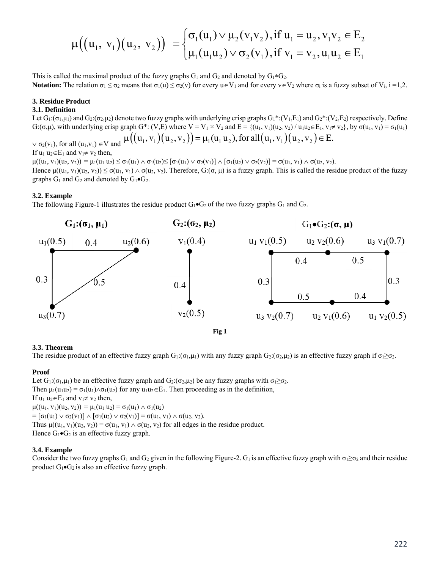$$
\mu((u_1, v_1)(u_2, v_2)) = \begin{cases} \sigma_1(u_1) \vee \mu_2(v_1v_2), \text{if } u_1 = u_2, v_1v_2 \in E_2 \\ \mu_1(u_1u_2) \vee \sigma_2(v_1), \text{if } v_1 = v_2, u_1u_2 \in E_1 \end{cases}
$$

This is called the maximal product of the fuzzy graphs  $G_1$  and  $G_2$  and denoted by  $G_1*G_2$ . **Notation:** The relation  $\sigma_1 \leq \sigma_2$  means that  $\sigma_1(u) \leq \sigma_2(v)$  for every  $u \in V_1$  and for every  $v \in V_2$  where  $\sigma_i$  is a fuzzy subset of  $V_i$ ,  $i = 1, 2$ .

## **3. Residue Product**

### **3.1. Definition**

Let  $G_1: (\sigma_1,\mu_1)$  and  $G_2: (\sigma_2,\mu_2)$  denote two fuzzy graphs with underlying crisp graphs  $G_1^*: (V_1,E_1)$  and  $G_2^*: (V_2,E_2)$  respectively. Define G:(σ,μ), with underlying crisp graph G\*: (V,E) where  $V = V_1 \times V_2$  and  $E = \{(u_1, v_1)(u_2, v_2) / u_1u_2 \in E_1, v_1 \neq v_2\}$ , by  $\sigma(u_1, v_1) = \sigma_1(u_1)$  $v \sigma_2(v_1)$ , for all  $(u_1, v_1) \in V$  and  $\mu((u_1, v_1)(u_2, v_2)) = \mu_1(u_1 u_2)$ , for all  $(u_1, v_1)(u_2, v_2) \in E$ .

If  $u_1 u_2 \in E_1$  and  $v_1 \neq v_2$  then,

 $\mu((u_1, v_1)(u_2, v_2)) = \mu_1(u_1 u_2) \le \sigma_1(u_1) \wedge \sigma_1(u_2) \le [\sigma_1(u_1) \vee \sigma_2(v_1)] \wedge [\sigma_1(u_2) \vee \sigma_2(v_2)] = \sigma(u_1, v_1) \wedge \sigma(u_2, v_2).$ 

Hence  $\mu((u_1, v_1)(u_2, v_2)) \leq \sigma(u_1, v_1) \wedge \sigma(u_2, v_2)$ . Therefore, G:( $\sigma$ ,  $\mu$ ) is a fuzzy graph. This is called the residue product of the fuzzy graphs  $G_1$  and  $G_2$  and denoted by  $G_1 \bullet G_2$ .

## **3.2. Example**

The following Figure-1 illustrates the residue product  $G_1 \bullet G_2$  of the two fuzzy graphs  $G_1$  and  $G_2$ .



## **3.3. Theorem**

The residue product of an effective fuzzy graph  $G_1: (\sigma_1, \mu_1)$  with any fuzzy graph  $G_2: (\sigma_2, \mu_2)$  is an effective fuzzy graph if  $\sigma_1 \geq \sigma_2$ .

## **Proof**

Let  $G_1: (\sigma_1, \mu_1)$  be an effective fuzzy graph and  $G_2: (\sigma_2, \mu_2)$  be any fuzzy graphs with  $\sigma_1 \geq \sigma_2$ . Then  $\mu_1(u_1u_2) = \sigma_1(u_1) \wedge \sigma_1(u_2)$  for any  $u_1u_2 \in E_1$ . Then proceeding as in the definition, If  $u_1 u_2 \in E_1$  and  $v_1 \neq v_2$  then,  $\mu((u_1, v_1)(u_2, v_2)) = \mu_1(u_1 u_2) = \sigma_1(u_1) \wedge \sigma_1(u_2)$ =  $[\sigma_1(u_1) \vee \sigma_2(v_1)] \wedge [\sigma_1(u_2) \vee \sigma_2(v_1)] = \sigma(u_1, v_1) \wedge \sigma(u_2, v_2).$ Thus  $\mu((u_1, v_1)(u_2, v_2)) = \sigma(u_1, v_1) \wedge \sigma(u_2, v_2)$  for all edges in the residue product. Hence  $G_1 \bullet G_2$  is an effective fuzzy graph.

## **3.4. Example**

Consider the two fuzzy graphs G<sub>1</sub> and G<sub>2</sub> given in the following Figure-2. G<sub>1</sub> is an effective fuzzy graph with  $\sigma_1 \geq \sigma_2$  and their residue product  $G_1 \bullet G_2$  is also an effective fuzzy graph.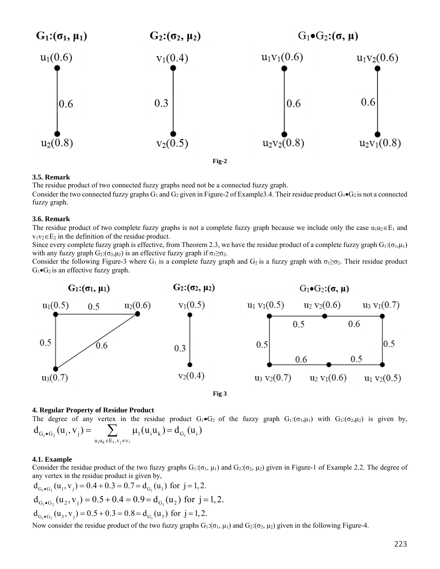

### **3.5. Remark**

The residue product of two connected fuzzy graphs need not be a connected fuzzy graph.

Consider the two connected fuzzy graphs  $G_1$  and  $G_2$  given in Figure-2 of Example3.4. Their residue product  $G_1 \bullet G_2$  is not a connected fuzzy graph.

## **3.6. Remark**

The residue product of two complete fuzzy graphs is not a complete fuzzy graph because we include only the case  $u_1u_2 \in E_1$  and  $v_1v_2 \in E_2$  in the definition of the residue product.

Since every complete fuzzy graph is effective, from Theorem 2.3, we have the residue product of a complete fuzzy graph  $G_1:(\sigma_1,\mu_1)$ with any fuzzy graph  $G_2$ : $(\sigma_2,\mu_2)$  is an effective fuzzy graph if  $\sigma_1 \geq \sigma_2$ .

Consider the following Figure-3 where G<sub>1</sub> is a complete fuzzy graph and G<sub>2</sub> is a fuzzy graph with  $\sigma_1 \geq \sigma_2$ . Their residue product  $G_1 \bullet G_2$  is an effective fuzzy graph.



**Fig 3** 

#### **4. Regular Property of Residue Product**

The degree of any vertex in the residue product  $G_1 \bullet G_2$  of the fuzzy graph  $G_1:(\sigma_1,\mu_1)$  with  $G_2:(\sigma_2,\mu_2)$  is given by,  $i \mathbf{u}_k \in \mathbf{E}_1$ 1 j  $\sum_{u_i u_k \in E_1, v_i \neq v_\ell} \mu_1(u_i u_k) - u_{G_1}(u_i)$  $G_1 \bullet G$ v  $d_{G_i \bullet G_2}(u_i, v_j) = \sum_{\mu_1}(u_i u_k) = d_{G_i}(u_i)$  $\mathbf{L}_{\mathbf{G}_2}(\mathbf{u}_i, \mathbf{v}_j) = \sum_{\mathbf{u}_i \mathbf{u}_k \in \mathbb{E}_1, \mathbf{v}_i \neq \mathbf{v}_j} \mu_1(\mathbf{u}_i \mathbf{u}_k) =$  $\ell$ 

## **4.1. Example**

Consider the residue product of the two fuzzy graphs  $G_1: (\sigma_1, \mu_1)$  and  $G_2: (\sigma_2, \mu_2)$  given in Figure-1 of Example 2.2. The degree of any vertex in the residue product is given by,

$$
d_{G_1 \bullet G_2}(u_1, v_j) = 0.4 + 0.3 = 0.7 = d_{G_1}(u_1) \text{ for } j = 1, 2.
$$
  
\n
$$
d_{G_1 \bullet G_2}(u_2, v_j) = 0.5 + 0.4 = 0.9 = d_{G_1}(u_2) \text{ for } j = 1, 2.
$$
  
\n
$$
d_{G_1 \bullet G_2}(u_3, v_j) = 0.5 + 0.3 = 0.8 = d_{G_1}(u_3) \text{ for } j = 1, 2.
$$

Now consider the residue product of the two fuzzy graphs  $G_1: (\sigma_1, \mu_1)$  and  $G_2: (\sigma_2, \mu_2)$  given in the following Figure-4.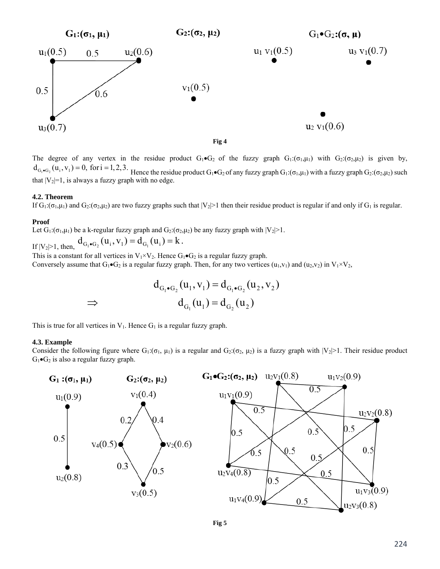

The degree of any vertex in the residue product  $G_1 \cdot G_2$  of the fuzzy graph  $G_1:(\sigma_1,\mu_1)$  with  $G_2:(\sigma_2,\mu_2)$  is given by,  $d_{G_1 \bullet G_2}(u_i, v_i) = 0$ , for  $i = 1, 2, 3$ . Hence the residue product  $G_1 \bullet G_2$  of any fuzzy graph  $G_1: (\sigma_1, \mu_1)$  with a fuzzy graph  $G_2: (\sigma_2, \mu_2)$  such that  $|V_2|=1$ , is always a fuzzy graph with no edge.

#### **4.2. Theorem**

If  $G_1: (\sigma_1, \mu_1)$  and  $G_2: (\sigma_2, \mu_2)$  are two fuzzy graphs such that  $|V_2|>1$  then their residue product is regular if and only if  $G_1$  is regular.

## **Proof**

Let  $G_1: (\sigma_1, \mu_1)$  be a k-regular fuzzy graph and  $G_2: (\sigma_2, \mu_2)$  be any fuzzy graph with  $|V_2| > 1$ .

If  $|V_2| \ge 1$ , then,  $d_{G_1 \bullet G_2}(u_i, v_1) = d_{G_1}(u_i) = k$ .

This is a constant for all vertices in  $V_1 \times V_2$ . Hence  $G_1 \bullet G_2$  is a regular fuzzy graph. Conversely assume that  $G_1 \bullet G_2$  is a regular fuzzy graph. Then, for any two vertices (u<sub>1</sub>,v<sub>1</sub>) and (u<sub>2</sub>,v<sub>2</sub>) in V<sub>1</sub>×V<sub>2</sub>,

$$
d_{G_1 \bullet G_2}(u_1, v_1) = d_{G_1 \bullet G_2}(u_2, v_2)
$$
  
\n⇒ 
$$
d_{G_1}(u_1) = d_{G_2}(u_2)
$$

This is true for all vertices in  $V_1$ . Hence  $G_1$  is a regular fuzzy graph.

#### **4.3. Example**

Consider the following figure where  $G_1: (\sigma_1, \mu_1)$  is a regular and  $G_2: (\sigma_2, \mu_2)$  is a fuzzy graph with  $|V_2|>1$ . Their residue product  $G_1 \bullet G_2$  is also a regular fuzzy graph.



**Fig 5**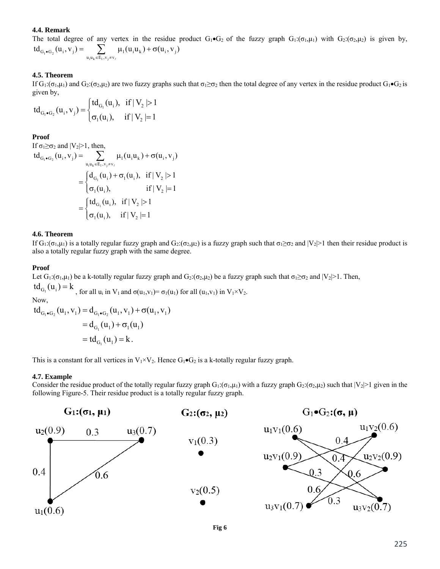## **4.4. Remark**

The total degree of any vertex in the residue product  $G_1 \cdot G_2$  of the fuzzy graph  $G_1:(\sigma_1,\mu_1)$  with  $G_2:(\sigma_2,\mu_2)$  is given by,  $u_i u_k \in E_1, v_j$  $\mathrm{td}_{_{G_i \bullet G_2}}(u_i, v_j) = \sum_{u_i u_k \in E_1, v_i \neq v_j} \mu_1(u_i u_k) + \sigma(u_i, v_j)$  $\ell$ 

## **4.5. Theorem**

If  $G_1: (\sigma_1, \mu_1)$  and  $G_2: (\sigma_2, \mu_2)$  are two fuzzy graphs such that  $\sigma_1 \geq \sigma_2$  then the total degree of any vertex in the residue product  $G_1 \bullet G_2$  is given by,

$$
td_{G_1 \bullet G_2}(u_i, v_j) = \begin{cases} td_{G_1}(u_i), & if \mid V_2 \mid > 1 \\ \sigma_1(u_i), & if \mid V_2 \mid = 1 \end{cases}
$$

### **Proof**

If  $\sigma_1 \geq \sigma_2$  and  $|V_2|>1$ , then,

$$
td_{G_1 \bullet G_2}(u_i, v_j) = \sum_{u_i u_k \in E_1, v_j \neq v_\ell} \mu_1(u_i u_k) + \sigma(u_i, v_j)
$$
  
= 
$$
\begin{cases} d_{G_1}(u_i) + \sigma_1(u_i), & \text{if } |V_2| > 1 \\ \sigma_1(u_i), & \text{if } |V_2| = 1 \end{cases}
$$
  
= 
$$
\begin{cases} td_{G_1}(u_i), & \text{if } |V_2| > 1 \\ \sigma_1(u_i), & \text{if } |V_2| = 1 \end{cases}
$$

## **4.6. Theorem**

If G<sub>1</sub>:(σ<sub>1</sub>,μ<sub>1</sub>) is a totally regular fuzzy graph and G<sub>2</sub>:(σ<sub>2</sub>,μ<sub>2</sub>) is a fuzzy graph such that σ<sub>1</sub>≥σ<sub>2</sub> and  $|V_2|$ >1 then their residue product is also a totally regular fuzzy graph with the same degree.

## **Proof**

Let  $G_1: (\sigma_1, \mu_1)$  be a k-totally regular fuzzy graph and  $G_2: (\sigma_2, \mu_2)$  be a fuzzy graph such that  $\sigma_1 \geq \sigma_2$  and  $|V_2| > 1$ . Then,

 $td_{G_1}(u_i) = k$ , for all  $u_i$  in  $V_1$  and  $\sigma(u_1, v_1) = \sigma_1(u_1)$  for all  $(u_1, v_1)$  in  $V_1 \times V_2$ . Now,  $\mathrm{td}_{G_1\bullet G_2}(u_1, v_1) = \mathrm{d}_{G_1\bullet G_2}(u_1, v_1) + \sigma(u_1, v_1)$  $=d_{G_1}(u_1) + \sigma_1(u_1)$  $= td_{G_1}(u_1) = k.$ 

This is a constant for all vertices in  $V_1 \times V_2$ . Hence  $G_1 \bullet G_2$  is a k-totally regular fuzzy graph.

### **4.7. Example**

Consider the residue product of the totally regular fuzzy graph  $G_1: (\sigma_1, \mu_1)$  with a fuzzy graph  $G_2: (\sigma_2, \mu_2)$  such that  $|V_2| > 1$  given in the following Figure-5. Their residue product is a totally regular fuzzy graph.



**Fig 6**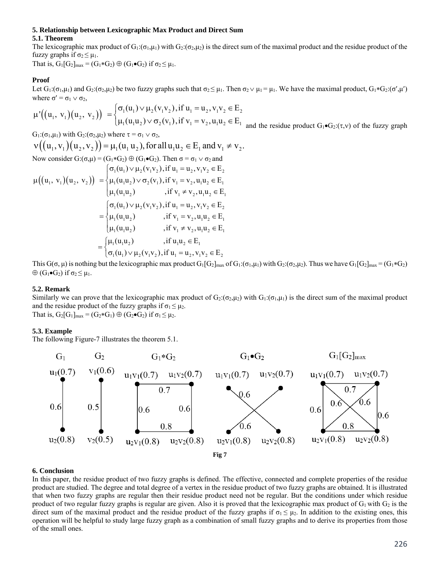#### **5. Relationship between Lexicographic Max Product and Direct Sum**

### **5.1. Theorem**

The lexicographic max product of  $G_1: (\sigma_1, \mu_1)$  with  $G_2: (\sigma_2, \mu_2)$  is the direct sum of the maximal product and the residue product of the fuzzy graphs if  $\sigma_2 \leq \mu_1$ .

That is,  $G_1[G_2]_{max} = (G_1 * G_2) \oplus (G_1 \bullet G_2)$  if  $\sigma_2 \leq \mu_1$ .

## **Proof**

Let  $G_1: (\sigma_1, \mu_1)$  and  $G_2: (\sigma_2, \mu_2)$  be two fuzzy graphs such that  $\sigma_2 \leq \mu_1$ . Then  $\sigma_2 \vee \mu_1 = \mu_1$ . We have the maximal product,  $G_1 * G_2 : (\sigma', \mu')$ where  $\sigma' = \sigma_1 \vee \sigma_2$ ,

$$
\mu'\big((u_1, v_1)(u_2, v_2)\big) = \begin{cases} \sigma_1(u_1) \vee \mu_2(v_1v_2), \text{if } u_1 = u_2, v_1v_2 \in E_2 \\ \mu_1(u_1u_2) \vee \sigma_2(v_1), \text{if } v_1 = v_2, u_1u_2 \in E_1 \text{ and the residue product } G_1 \bullet G_2(\tau, v) \text{ of the fuzzy graph} \end{cases}
$$

$$
G_1:(\sigma_1,\mu_1) \text{ with } G_2:(\sigma_2,\mu_2) \text{ where } \tau = \sigma_1 \vee \sigma_2,
$$
  
\n
$$
\nu((u_1, v_1)(u_2, v_2)) = \mu_1(u_1 u_2), \text{ for all } u_1 u_2 \in E_1 \text{ and } v_1 \neq v_2.
$$
  
\nNow consider  $G: (\sigma, \mu) = (G_1 * G_2) \oplus (G_1 \bullet G_2)$ . Then  $\sigma = \sigma_1 \vee \sigma_2$  and  
\n
$$
\mu((u_1, v_1)(u_2, v_2)) = \begin{cases} \sigma_1(u_1) \vee \mu_2(v_1 v_2), \text{ if } u_1 = u_2, v_1 v_2 \in E_2 \\ \mu_1(u_1 u_2) \vee \sigma_2(v_1), \text{ if } v_1 = v_2, u_1 u_2 \in E_1 \\ \mu_1(u_1 u_2) \qquad \text{, if } v_1 \neq v_2, u_1 u_2 \in E_2 \end{cases}
$$
  
\n
$$
= \begin{cases} \sigma_1(u_1) \vee \mu_2(v_1 v_2), \text{ if } u_1 = u_2, v_1 v_2 \in E_2 \\ \mu_1(u_1 u_2) \qquad \text{, if } v_1 = v_2, u_1 u_2 \in E_1 \\ \mu_1(u_1 u_2) \qquad \text{, if } v_1 \neq v_2, u_1 u_2 \in E_1 \end{cases}
$$
  
\n
$$
= \begin{cases} \mu_1(u_1 u_2) & \text{, if } u_1 u_2 \in E_1 \\ \sigma_1(u_1) \vee \mu_2(v_1 v_2), \text{ if } u_1 = u_2, v_1 v_2 \in E_2 \end{cases}
$$

This  $G(\sigma, \mu)$  is nothing but the lexicographic max product  $G_1[G_2]_{max}$  of  $G_1: (\sigma_1, \mu_1)$  with  $G_2: (\sigma_2, \mu_2)$ . Thus we have  $G_1[G_2]_{max} = (G_1 * G_2)$  $\oplus$  (G<sub>1</sub>•G<sub>2</sub>) if  $\sigma_2 \leq \mu_1$ .

#### **5.2. Remark**

Similarly we can prove that the lexicographic max product of  $G_2$ :( $\sigma_2$ , $\mu_2$ ) with  $G_1$ :( $\sigma_1$ , $\mu_1$ ) is the direct sum of the maximal product and the residue product of the fuzzy graphs if  $\sigma_1 \leq \mu_2$ . That is,  $G_2[G_1]_{max} = (G_2 * G_1) \oplus (G_2 \bullet G_2)$  if  $\sigma_1 \leq \mu_2$ .

### **5.3. Example**

The following Figure-7 illustrates the theorem 5.1.



## **6. Conclusion**

In this paper, the residue product of two fuzzy graphs is defined. The effective, connected and complete properties of the residue product are studied. The degree and total degree of a vertex in the residue product of two fuzzy graphs are obtained. It is illustrated that when two fuzzy graphs are regular then their residue product need not be regular. But the conditions under which residue product of two regular fuzzy graphs is regular are given. Also it is proved that the lexicographic max product of  $G_1$  with  $G_2$  is the direct sum of the maximal product and the residue product of the fuzzy graphs if  $\sigma_1 \leq \mu_2$ . In addition to the existing ones, this operation will be helpful to study large fuzzy graph as a combination of small fuzzy graphs and to derive its properties from those of the small ones.